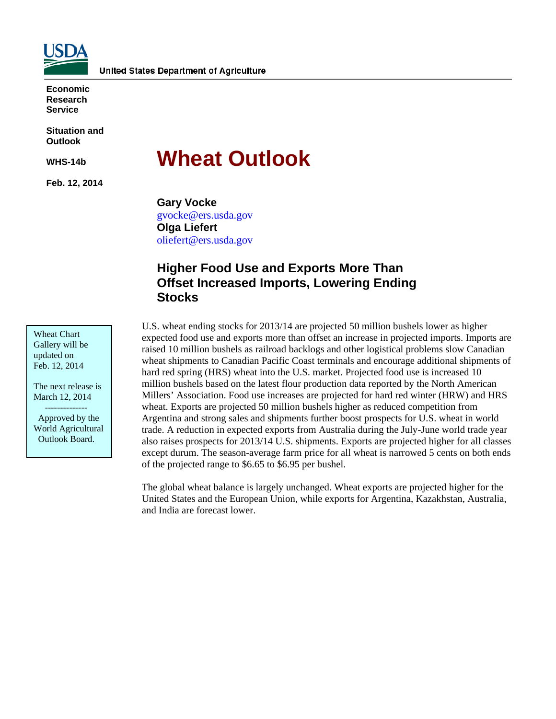

**Economic Research Service** 

**Situation and Outlook** 

**WHS-14b** 

**Feb. 12, 2014** 

# **Wheat Outlook**

**Gary Vocke**  gvocke@ers.usda.gov **Olga Liefert**  oliefert@ers.usda.gov

### **Higher Food Use and Exports More Than Offset Increased Imports, Lowering Ending Stocks**

U.S. wheat ending stocks for 2013/14 are projected 50 million bushels lower as higher expected food use and exports more than offset an increase in projected imports. Imports are raised 10 million bushels as railroad backlogs and other logistical problems slow Canadian wheat shipments to Canadian Pacific Coast terminals and encourage additional shipments of hard red spring (HRS) wheat into the U.S. market. Projected food use is increased 10 million bushels based on the latest flour production data reported by the North American Millers' Association. Food use increases are projected for hard red winter (HRW) and HRS wheat. Exports are projected 50 million bushels higher as reduced competition from Argentina and strong sales and shipments further boost prospects for U.S. wheat in world trade. A reduction in expected exports from Australia during the July-June world trade year also raises prospects for 2013/14 U.S. shipments. Exports are projected higher for all classes except durum. The season-average farm price for all wheat is narrowed 5 cents on both ends of the projected range to \$6.65 to \$6.95 per bushel.

The global wheat balance is largely unchanged. Wheat exports are projected higher for the United States and the European Union, while exports for Argentina, Kazakhstan, Australia, and India are forecast lower.

Wheat Chart Gallery will be updated on Feb. 12, 2014

The next release is March 12, 2014 --------------

 Approved by the World Agricultural Outlook Board.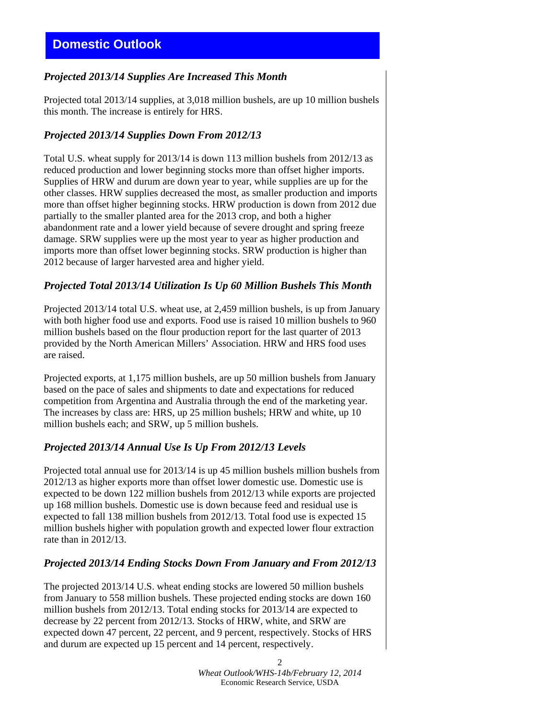### *Projected 2013/14 Supplies Are Increased This Month*

Projected total 2013/14 supplies, at 3,018 million bushels, are up 10 million bushels this month. The increase is entirely for HRS.

### *Projected 2013/14 Supplies Down From 2012/13*

Total U.S. wheat supply for 2013/14 is down 113 million bushels from 2012/13 as reduced production and lower beginning stocks more than offset higher imports. Supplies of HRW and durum are down year to year, while supplies are up for the other classes. HRW supplies decreased the most, as smaller production and imports more than offset higher beginning stocks. HRW production is down from 2012 due partially to the smaller planted area for the 2013 crop, and both a higher abandonment rate and a lower yield because of severe drought and spring freeze damage. SRW supplies were up the most year to year as higher production and imports more than offset lower beginning stocks. SRW production is higher than 2012 because of larger harvested area and higher yield.

### *Projected Total 2013/14 Utilization Is Up 60 Million Bushels This Month*

Projected 2013/14 total U.S. wheat use, at 2,459 million bushels, is up from January with both higher food use and exports. Food use is raised 10 million bushels to 960 million bushels based on the flour production report for the last quarter of 2013 provided by the North American Millers' Association. HRW and HRS food uses are raised.

Projected exports, at 1,175 million bushels, are up 50 million bushels from January based on the pace of sales and shipments to date and expectations for reduced competition from Argentina and Australia through the end of the marketing year. The increases by class are: HRS, up 25 million bushels; HRW and white, up 10 million bushels each; and SRW, up 5 million bushels.

### *Projected 2013/14 Annual Use Is Up From 2012/13 Levels*

Projected total annual use for 2013/14 is up 45 million bushels million bushels from 2012/13 as higher exports more than offset lower domestic use. Domestic use is expected to be down 122 million bushels from 2012/13 while exports are projected up 168 million bushels. Domestic use is down because feed and residual use is expected to fall 138 million bushels from 2012/13. Total food use is expected 15 million bushels higher with population growth and expected lower flour extraction rate than in 2012/13.

### *Projected 2013/14 Ending Stocks Down From January and From 2012/13*

The projected 2013/14 U.S. wheat ending stocks are lowered 50 million bushels from January to 558 million bushels. These projected ending stocks are down 160 million bushels from 2012/13. Total ending stocks for 2013/14 are expected to decrease by 22 percent from 2012/13. Stocks of HRW, white, and SRW are expected down 47 percent, 22 percent, and 9 percent, respectively. Stocks of HRS and durum are expected up 15 percent and 14 percent, respectively.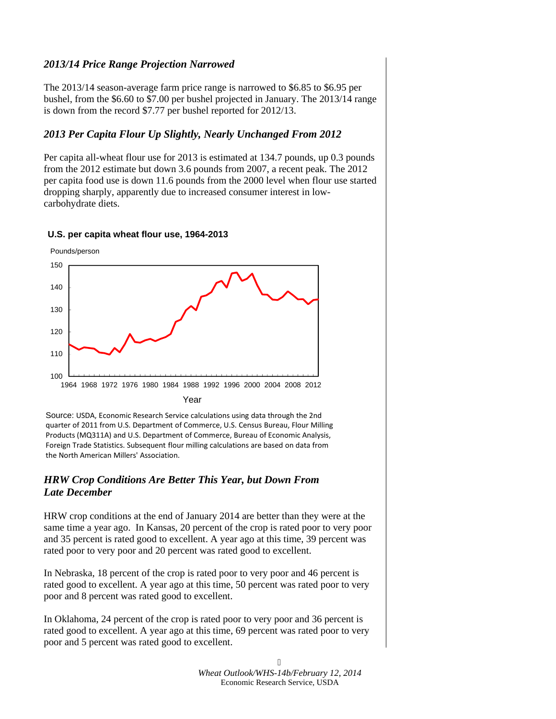### *2013/14 Price Range Projection Narrowed*

The 2013/14 season-average farm price range is narrowed to \$6.85 to \$6.95 per bushel, from the \$6.60 to \$7.00 per bushel projected in January. The 2013/14 range is down from the record \$7.77 per bushel reported for 2012/13.

### *2013 Per Capita Flour Up Slightly, Nearly Unchanged From 2012*

Per capita all-wheat flour use for 2013 is estimated at 134.7 pounds, up 0.3 pounds from the 2012 estimate but down 3.6 pounds from 2007, a recent peak. The 2012 per capita food use is down 11.6 pounds from the 2000 level when flour use started dropping sharply, apparently due to increased consumer interest in lowcarbohydrate diets.

## 100 110 120 130 140 150 1964 1968 1972 1976 1980 1984 1988 1992 1996 2000 2004 2008 2012 Year Pounds/person

### **U.S. per capita wheat flour use, 1964-2013**

Source: USDA, Economic Research Service calculations using data through the 2nd quarter of 2011 from U.S. Department of Commerce, U.S. Census Bureau, Flour Milling Products (MQ311A) and U.S. Department of Commerce, Bureau of Economic Analysis, Foreign Trade Statistics. Subsequent flour milling calculations are based on data from the North American Millers' Association.

### *HRW Crop Conditions Are Better This Year, but Down From Late December*

HRW crop conditions at the end of January 2014 are better than they were at the same time a year ago. In Kansas, 20 percent of the crop is rated poor to very poor and 35 percent is rated good to excellent. A year ago at this time, 39 percent was rated poor to very poor and 20 percent was rated good to excellent.

In Nebraska, 18 percent of the crop is rated poor to very poor and 46 percent is rated good to excellent. A year ago at this time, 50 percent was rated poor to very poor and 8 percent was rated good to excellent.

In Oklahoma, 24 percent of the crop is rated poor to very poor and 36 percent is rated good to excellent. A year ago at this time, 69 percent was rated poor to very poor and 5 percent was rated good to excellent.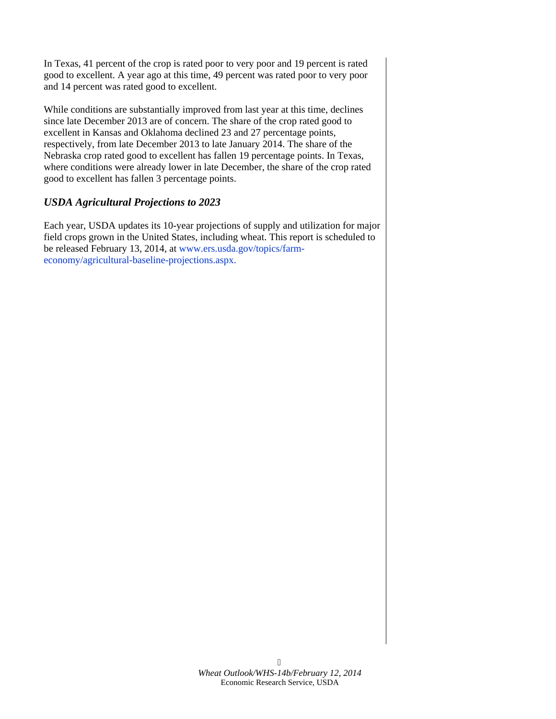In Texas, 41 percent of the crop is rated poor to very poor and 19 percent is rated good to excellent. A year ago at this time, 49 percent was rated poor to very poor and 14 percent was rated good to excellent.

While conditions are substantially improved from last year at this time, declines since late December 2013 are of concern. The share of the crop rated good to excellent in Kansas and Oklahoma declined 23 and 27 percentage points, respectively, from late December 2013 to late January 2014. The share of the Nebraska crop rated good to excellent has fallen 19 percentage points. In Texas, where conditions were already lower in late December, the share of the crop rated good to excellent has fallen 3 percentage points.

### *USDA Agricultural Projections to 2023*

Each year, USDA updates its 10-year projections of supply and utilization for major field crops grown in the United States, including wheat. This report is scheduled to be released February 13, 2014, at [www.ers.usda.gov/topics/farm](www.ers.usda.gov/topics/farm-economy/agricultural-baseline-projections.aspx)[economy/agricultural-baseline-projections.aspx.](www.ers.usda.gov/topics/farm-economy/agricultural-baseline-projections.aspx)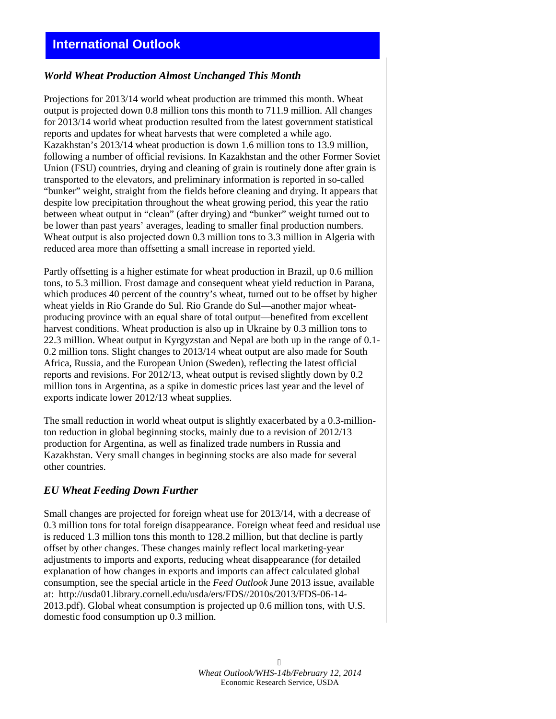### *World Wheat Production Almost Unchanged This Month*

Projections for 2013/14 world wheat production are trimmed this month. Wheat output is projected down 0.8 million tons this month to 711.9 million. All changes for 2013/14 world wheat production resulted from the latest government statistical reports and updates for wheat harvests that were completed a while ago. Kazakhstan's 2013/14 wheat production is down 1.6 million tons to 13.9 million, following a number of official revisions. In Kazakhstan and the other Former Soviet Union (FSU) countries, drying and cleaning of grain is routinely done after grain is transported to the elevators, and preliminary information is reported in so-called "bunker" weight, straight from the fields before cleaning and drying. It appears that despite low precipitation throughout the wheat growing period, this year the ratio between wheat output in "clean" (after drying) and "bunker" weight turned out to be lower than past years' averages, leading to smaller final production numbers. Wheat output is also projected down 0.3 million tons to 3.3 million in Algeria with reduced area more than offsetting a small increase in reported yield.

Partly offsetting is a higher estimate for wheat production in Brazil, up 0.6 million tons, to 5.3 million. Frost damage and consequent wheat yield reduction in Parana, which produces 40 percent of the country's wheat, turned out to be offset by higher wheat yields in Rio Grande do Sul. Rio Grande do Sul—another major wheatproducing province with an equal share of total output—benefited from excellent harvest conditions. Wheat production is also up in Ukraine by 0.3 million tons to 22.3 million. Wheat output in Kyrgyzstan and Nepal are both up in the range of 0.1- 0.2 million tons. Slight changes to 2013/14 wheat output are also made for South Africa, Russia, and the European Union (Sweden), reflecting the latest official reports and revisions. For 2012/13, wheat output is revised slightly down by 0.2 million tons in Argentina, as a spike in domestic prices last year and the level of exports indicate lower 2012/13 wheat supplies.

The small reduction in world wheat output is slightly exacerbated by a 0.3-millionton reduction in global beginning stocks, mainly due to a revision of 2012/13 production for Argentina, as well as finalized trade numbers in Russia and Kazakhstan. Very small changes in beginning stocks are also made for several other countries.

### *EU Wheat Feeding Down Further*

Small changes are projected for foreign wheat use for 2013/14, with a decrease of 0.3 million tons for total foreign disappearance. Foreign wheat feed and residual use is reduced 1.3 million tons this month to 128.2 million, but that decline is partly offset by other changes. These changes mainly reflect local marketing-year adjustments to imports and exports, reducing wheat disappearance (for detailed explanation of how changes in exports and imports can affect calculated global consumption, see the special article in the *Feed Outlook* June 2013 issue, available at: http://usda01.library.cornell.edu/usda/ers/FDS//2010s/2013/FDS-06-14- 2013.pdf). Global wheat consumption is projected up 0.6 million tons, with U.S. domestic food consumption up 0.3 million.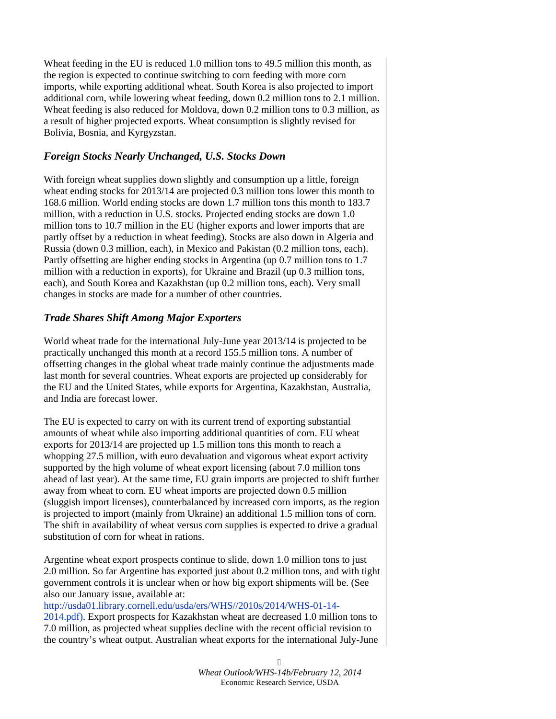Wheat feeding in the EU is reduced 1.0 million tons to 49.5 million this month, as the region is expected to continue switching to corn feeding with more corn imports, while exporting additional wheat. South Korea is also projected to import additional corn, while lowering wheat feeding, down 0.2 million tons to 2.1 million. Wheat feeding is also reduced for Moldova, down 0.2 million tons to 0.3 million, as a result of higher projected exports. Wheat consumption is slightly revised for Bolivia, Bosnia, and Kyrgyzstan.

### *Foreign Stocks Nearly Unchanged, U.S. Stocks Down*

With foreign wheat supplies down slightly and consumption up a little, foreign wheat ending stocks for 2013/14 are projected 0.3 million tons lower this month to 168.6 million. World ending stocks are down 1.7 million tons this month to 183.7 million, with a reduction in U.S. stocks. Projected ending stocks are down 1.0 million tons to 10.7 million in the EU (higher exports and lower imports that are partly offset by a reduction in wheat feeding). Stocks are also down in Algeria and Russia (down 0.3 million, each), in Mexico and Pakistan (0.2 million tons, each). Partly offsetting are higher ending stocks in Argentina (up 0.7 million tons to 1.7 million with a reduction in exports), for Ukraine and Brazil (up 0.3 million tons, each), and South Korea and Kazakhstan (up 0.2 million tons, each). Very small changes in stocks are made for a number of other countries.

### *Trade Shares Shift Among Major Exporters*

World wheat trade for the international July-June year 2013/14 is projected to be practically unchanged this month at a record 155.5 million tons. A number of offsetting changes in the global wheat trade mainly continue the adjustments made last month for several countries. Wheat exports are projected up considerably for the EU and the United States, while exports for Argentina, Kazakhstan, Australia, and India are forecast lower.

The EU is expected to carry on with its current trend of exporting substantial amounts of wheat while also importing additional quantities of corn. EU wheat exports for 2013/14 are projected up 1.5 million tons this month to reach a whopping 27.5 million, with euro devaluation and vigorous wheat export activity supported by the high volume of wheat export licensing (about 7.0 million tons ahead of last year). At the same time, EU grain imports are projected to shift further away from wheat to corn. EU wheat imports are projected down 0.5 million (sluggish import licenses), counterbalanced by increased corn imports, as the region is projected to import (mainly from Ukraine) an additional 1.5 million tons of corn. The shift in availability of wheat versus corn supplies is expected to drive a gradual substitution of corn for wheat in rations.

Argentine wheat export prospects continue to slide, down 1.0 million tons to just 2.0 million. So far Argentine has exported just about 0.2 million tons, and with tight government controls it is unclear when or how big export shipments will be. (See also our January issue, available at:

[http://usda01.library.cornell.edu/usda/ers/WHS//2010s/2014/WHS-01-14-](http://usda01.library.cornell.edu/usda/ers/WHS//2010s/2014/WHS-01-14-2014.pdf)

[2014.pdf\)](http://usda01.library.cornell.edu/usda/ers/WHS//2010s/2014/WHS-01-14-2014.pdf). Export prospects for Kazakhstan wheat are decreased 1.0 million tons to 7.0 million, as projected wheat supplies decline with the recent official revision to the country's wheat output. Australian wheat exports for the international July-June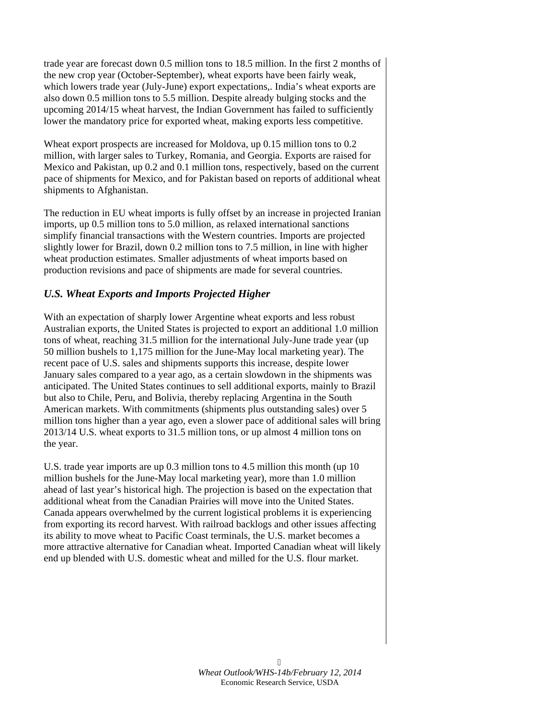trade year are forecast down 0.5 million tons to 18.5 million. In the first 2 months of the new crop year (October-September), wheat exports have been fairly weak, which lowers trade year (July-June) export expectations,. India's wheat exports are also down 0.5 million tons to 5.5 million. Despite already bulging stocks and the upcoming 2014/15 wheat harvest, the Indian Government has failed to sufficiently lower the mandatory price for exported wheat, making exports less competitive.

Wheat export prospects are increased for Moldova, up 0.15 million tons to 0.2 million, with larger sales to Turkey, Romania, and Georgia. Exports are raised for Mexico and Pakistan, up 0.2 and 0.1 million tons, respectively, based on the current pace of shipments for Mexico, and for Pakistan based on reports of additional wheat shipments to Afghanistan.

The reduction in EU wheat imports is fully offset by an increase in projected Iranian imports, up 0.5 million tons to 5.0 million, as relaxed international sanctions simplify financial transactions with the Western countries. Imports are projected slightly lower for Brazil, down 0.2 million tons to 7.5 million, in line with higher wheat production estimates. Smaller adjustments of wheat imports based on production revisions and pace of shipments are made for several countries.

### *U.S. Wheat Exports and Imports Projected Higher*

With an expectation of sharply lower Argentine wheat exports and less robust Australian exports, the United States is projected to export an additional 1.0 million tons of wheat, reaching 31.5 million for the international July-June trade year (up 50 million bushels to 1,175 million for the June-May local marketing year). The recent pace of U.S. sales and shipments supports this increase, despite lower January sales compared to a year ago, as a certain slowdown in the shipments was anticipated. The United States continues to sell additional exports, mainly to Brazil but also to Chile, Peru, and Bolivia, thereby replacing Argentina in the South American markets. With commitments (shipments plus outstanding sales) over 5 million tons higher than a year ago, even a slower pace of additional sales will bring 2013/14 U.S. wheat exports to 31.5 million tons, or up almost 4 million tons on the year.

U.S. trade year imports are up 0.3 million tons to 4.5 million this month (up 10 million bushels for the June-May local marketing year), more than 1.0 million ahead of last year's historical high. The projection is based on the expectation that additional wheat from the Canadian Prairies will move into the United States. Canada appears overwhelmed by the current logistical problems it is experiencing from exporting its record harvest. With railroad backlogs and other issues affecting its ability to move wheat to Pacific Coast terminals, the U.S. market becomes a more attractive alternative for Canadian wheat. Imported Canadian wheat will likely end up blended with U.S. domestic wheat and milled for the U.S. flour market.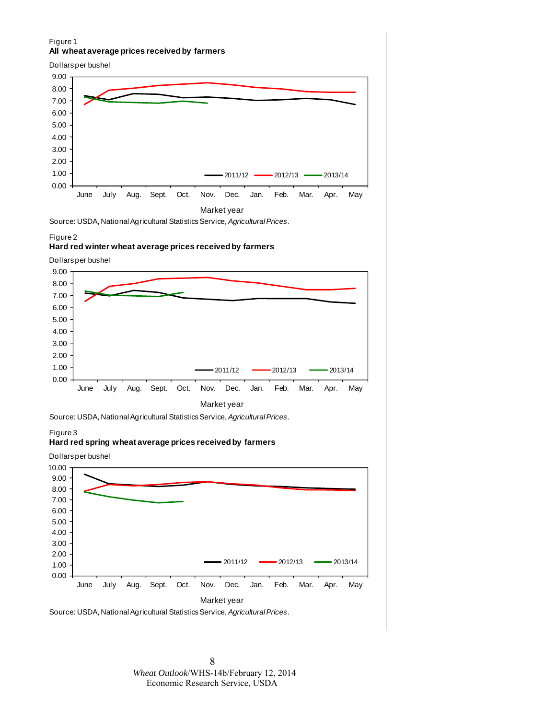#### Figure 1 **All wheat average prices received by farmers**



Source: USDA, National Agricultural Statistics Service, *Agricultural Prices*.

#### Figure 2

#### **Hard red winter wheat average prices received by farmers**

Dollars per bushel



Source: USDA, National Agricultural Statistics Service, *Agricultural Prices*.

Figure 3

#### **Hard red spring wheat average prices received by farmers**

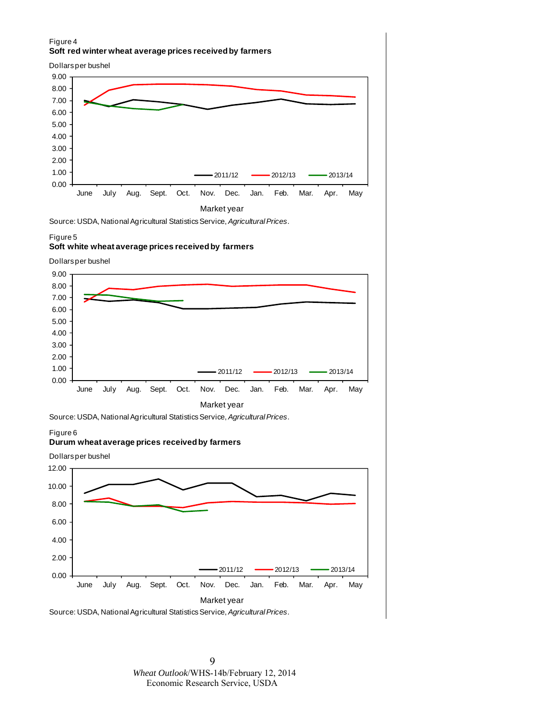#### Figure 4 **Soft red winter wheat average prices received by farmers**





Source: USDA, National Agricultural Statistics Service, *Agricultural Prices*.

#### Figure 5

#### **Soft white wheat average prices received by farmers**

Dollars per bushel



Source: USDA, National Agricultural Statistics Service, *Agricultural Prices*.

#### Figure 6

#### **Durum wheat average prices received by farmers**



Source: USDA, National Agricultural Statistics Service, *Agricultural Prices*.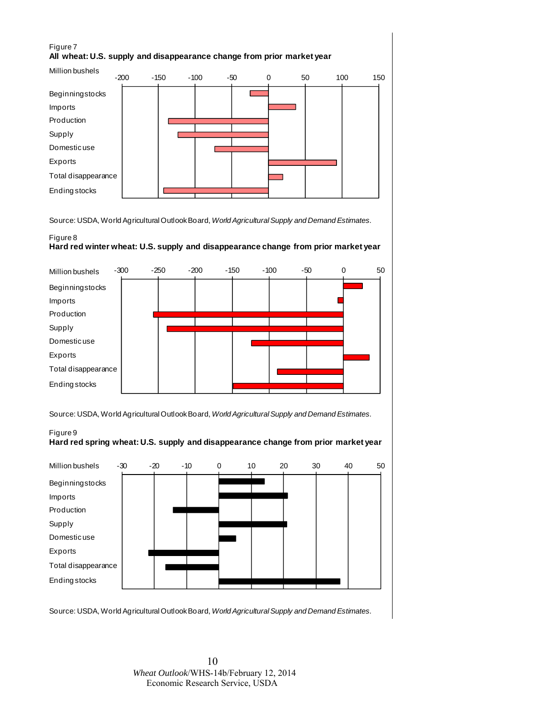### Figure 7 **All wheat: U.S. supply and disappearance change from prior market year**



Source: USDA, World Agricultural Outlook Board, *World Agricultural Supply and Demand Estimates.*

### Figure 8 **Hard red winter wheat: U.S. supply and disappearance change from prior market year**



Source: USDA, World Agricultural Outlook Board, *World Agricultural Supply and Demand Estimates.*





Source: USDA, World Agricultural Outlook Board, *World Agricultural Supply and Demand Estimates.*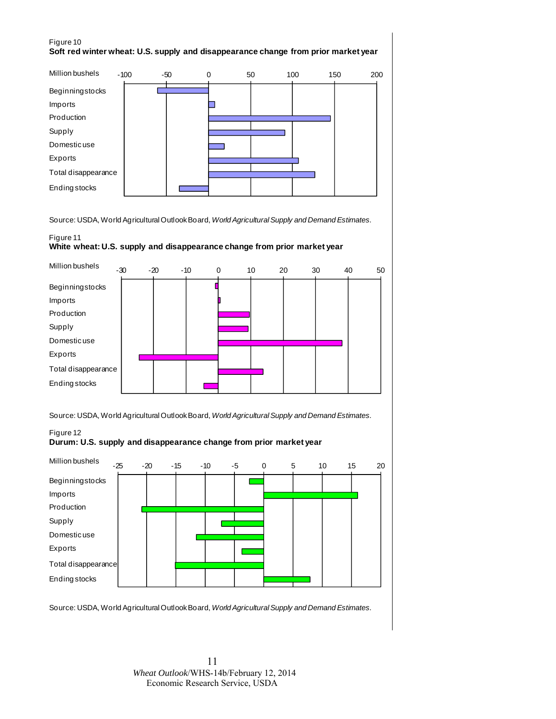#### Figure 10 **Soft red winter wheat: U.S. supply and disappearance change from prior market year**



Source: USDA, World Agricultural Outlook Board, *World Agricultural Supply and Demand Estimates.*

#### Figure 11

#### **White wheat: U.S. supply and disappearance change from prior market year**



Source: USDA, World Agricultural Outlook Board, *World Agricultural Supply and Demand Estimates.*

### Figure 12 **Durum: U.S. supply and disappearance change from prior market year**



Source: USDA, World Agricultural Outlook Board, *World Agricultural Supply and Demand Estimates.*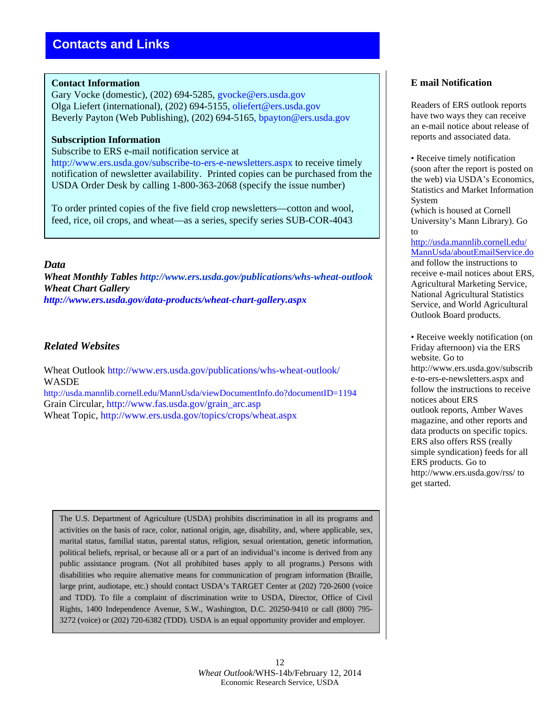### **Contact Information**

Gary Vocke (domestic), (202) 694-5285, gvocke@ers.usda.gov Olga Liefert (international), (202) 694-5155, oliefert@ers.usda.gov Beverly Payton (Web Publishing), (202) 694-5165, bpayton@ers.usda.gov

### **Subscription Information**

Subscribe to ERS e-mail notification service at

http://www.ers.usda.gov/subscribe-to-ers-e-newsletters.aspx to receive timely notification of newsletter availability. Printed copies can be purchased from the USDA Order Desk by calling 1-800-363-2068 (specify the issue number)

To order printed copies of the five field crop newsletters—cotton and wool, feed, rice, oil crops, and wheat—as a series, specify series SUB-COR-4043

### *Data*

*Wheat Monthly Tables http://www.ers.usda.gov/publications/whs-wheat-outlook Wheat Chart Gallery http://www.ers.usda.gov/data-products/wheat-chart-gallery.aspx* 

### *Related Websites*

Wheat Outlook http://www.ers.usda.gov/publications/whs-wheat-outlook/ WASDE http://usda.mannlib.cornell.edu/MannUsda/viewDocumentInfo.do?documentID=1194 Grain Circular, http://www.fas.usda.gov/grain\_arc.asp

Wheat Topic, http://www.ers.usda.gov/topics/crops/wheat.aspx

The U.S. Department of Agriculture (USDA) prohibits discrimination in all its programs and activities on the basis of race, color, national origin, age, disability, and, where applicable, sex, marital status, familial status, parental status, religion, sexual orientation, genetic information, political beliefs, reprisal, or because all or a part of an individual's income is derived from any public assistance program. (Not all prohibited bases apply to all programs.) Persons with disabilities who require alternative means for communication of program information (Braille, large print, audiotape, etc.) should contact USDA's TARGET Center at (202) 720-2600 (voice and TDD). To file a complaint of discrimination write to USDA, Director, Office of Civil Rights, 1400 Independence Avenue, S.W., Washington, D.C. 20250-9410 or call (800) 795- 3272 (voice) or (202) 720-6382 (TDD). USDA is an equal opportunity provider and employer.

### **E mail Notification**

Readers of ERS outlook reports have two ways they can receive an e-mail notice about release of reports and associated data.

• Receive timely notification (soon after the report is posted on the web) via USDA's Economics, Statistics and Market Information System

(which is housed at Cornell University's Mann Library). Go to

http://usda.mannlib.cornell.edu/ MannUsda/aboutEmailService.do and follow the instructions to receive e-mail notices about ERS, Agricultural Marketing Service, National Agricultural Statistics Service, and World Agricultural Outlook Board products.

• Receive weekly notification (on Friday afternoon) via the ERS website. Go to http://www.ers.usda.gov/subscrib e-to-ers-e-newsletters.aspx and follow the instructions to receive notices about ERS outlook reports, Amber Waves magazine, and other reports and data products on specific topics. ERS also offers RSS (really simple syndication) feeds for all ERS products. Go to http://www.ers.usda.gov/rss/ to get started.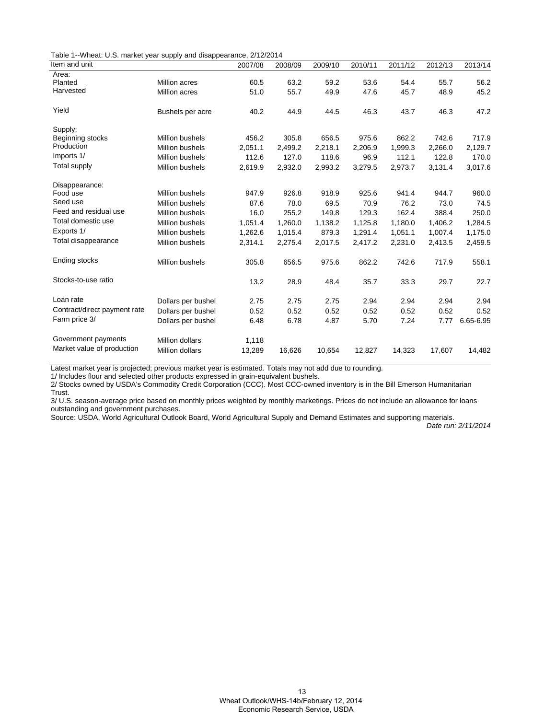|  | Table 1--Wheat: U.S. market year supply and disappearance, 2/12/2014 |  |  |  |  |
|--|----------------------------------------------------------------------|--|--|--|--|
|--|----------------------------------------------------------------------|--|--|--|--|

| Item and unit                |                        | 2007/08 | 2008/09 | 2009/10 | 2010/11 | 2011/12 | 2012/13 | 2013/14   |
|------------------------------|------------------------|---------|---------|---------|---------|---------|---------|-----------|
| Area:                        |                        |         |         |         |         |         |         |           |
| Planted                      | <b>Million acres</b>   | 60.5    | 63.2    | 59.2    | 53.6    | 54.4    | 55.7    | 56.2      |
| Harvested                    | Million acres          | 51.0    | 55.7    | 49.9    | 47.6    | 45.7    | 48.9    | 45.2      |
| Yield                        | Bushels per acre       | 40.2    | 44.9    | 44.5    | 46.3    | 43.7    | 46.3    | 47.2      |
| Supply:                      |                        |         |         |         |         |         |         |           |
| Beginning stocks             | <b>Million bushels</b> | 456.2   | 305.8   | 656.5   | 975.6   | 862.2   | 742.6   | 717.9     |
| Production                   | <b>Million bushels</b> | 2,051.1 | 2,499.2 | 2,218.1 | 2,206.9 | 1,999.3 | 2,266.0 | 2,129.7   |
| Imports 1/                   | <b>Million bushels</b> | 112.6   | 127.0   | 118.6   | 96.9    | 112.1   | 122.8   | 170.0     |
| <b>Total supply</b>          | Million bushels        | 2,619.9 | 2,932.0 | 2,993.2 | 3,279.5 | 2,973.7 | 3,131.4 | 3,017.6   |
| Disappearance:               |                        |         |         |         |         |         |         |           |
| Food use                     | <b>Million bushels</b> | 947.9   | 926.8   | 918.9   | 925.6   | 941.4   | 944.7   | 960.0     |
| Seed use                     | <b>Million bushels</b> | 87.6    | 78.0    | 69.5    | 70.9    | 76.2    | 73.0    | 74.5      |
| Feed and residual use        | <b>Million bushels</b> | 16.0    | 255.2   | 149.8   | 129.3   | 162.4   | 388.4   | 250.0     |
| Total domestic use           | <b>Million bushels</b> | 1,051.4 | 1,260.0 | 1,138.2 | 1,125.8 | 1,180.0 | 1,406.2 | 1,284.5   |
| Exports 1/                   | <b>Million bushels</b> | 1,262.6 | 1,015.4 | 879.3   | 1,291.4 | 1,051.1 | 1,007.4 | 1,175.0   |
| Total disappearance          | Million bushels        | 2,314.1 | 2,275.4 | 2,017.5 | 2,417.2 | 2,231.0 | 2,413.5 | 2,459.5   |
| Ending stocks                | <b>Million bushels</b> | 305.8   | 656.5   | 975.6   | 862.2   | 742.6   | 717.9   | 558.1     |
| Stocks-to-use ratio          |                        | 13.2    | 28.9    | 48.4    | 35.7    | 33.3    | 29.7    | 22.7      |
| Loan rate                    | Dollars per bushel     | 2.75    | 2.75    | 2.75    | 2.94    | 2.94    | 2.94    | 2.94      |
| Contract/direct payment rate | Dollars per bushel     | 0.52    | 0.52    | 0.52    | 0.52    | 0.52    | 0.52    | 0.52      |
| Farm price 3/                | Dollars per bushel     | 6.48    | 6.78    | 4.87    | 5.70    | 7.24    | 7.77    | 6.65-6.95 |
| Government payments          | <b>Million dollars</b> | 1,118   |         |         |         |         |         |           |
| Market value of production   | <b>Million dollars</b> | 13,289  | 16,626  | 10,654  | 12,827  | 14,323  | 17,607  | 14,482    |
|                              |                        |         |         |         |         |         |         |           |

Latest market year is projected; previous market year is estimated. Totals may not add due to rounding.

1/ Includes flour and selected other products expressed in grain-equivalent bushels.

2/ Stocks owned by USDA's Commodity Credit Corporation (CCC). Most CCC-owned inventory is in the Bill Emerson Humanitarian Trust.

3/ U.S. season-average price based on monthly prices weighted by monthly marketings. Prices do not include an allowance for loans outstanding and government purchases.

Source: USDA, World Agricultural Outlook Board, World Agricultural Supply and Demand Estimates and supporting materials.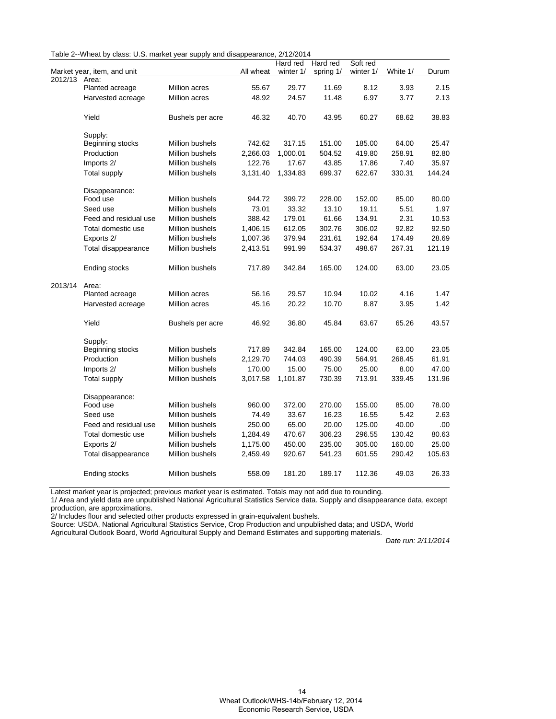| Table 2--Wheat by class: U.S. market year supply and disappearance, 2/12/2014 |  |  |  |
|-------------------------------------------------------------------------------|--|--|--|
|-------------------------------------------------------------------------------|--|--|--|

|         |                             |                  |           | Hard red  | Hard red  | Soft red  |          |        |
|---------|-----------------------------|------------------|-----------|-----------|-----------|-----------|----------|--------|
|         | Market year, item, and unit |                  | All wheat | winter 1/ | spring 1/ | winter 1/ | White 1/ | Durum  |
| 2012/13 | Area:                       |                  |           |           |           |           |          |        |
|         | Planted acreage             | Million acres    | 55.67     | 29.77     | 11.69     | 8.12      | 3.93     | 2.15   |
|         | Harvested acreage           | Million acres    | 48.92     | 24.57     | 11.48     | 6.97      | 3.77     | 2.13   |
|         |                             |                  |           |           |           |           |          |        |
|         | Yield                       | Bushels per acre | 46.32     | 40.70     | 43.95     | 60.27     | 68.62    | 38.83  |
|         | Supply:                     |                  |           |           |           |           |          |        |
|         | Beginning stocks            | Million bushels  | 742.62    | 317.15    | 151.00    | 185.00    | 64.00    | 25.47  |
|         | Production                  | Million bushels  | 2,266.03  | 1,000.01  | 504.52    | 419.80    | 258.91   | 82.80  |
|         | Imports 2/                  | Million bushels  | 122.76    | 17.67     | 43.85     | 17.86     | 7.40     | 35.97  |
|         | Total supply                | Million bushels  | 3,131.40  | 1,334.83  | 699.37    | 622.67    | 330.31   | 144.24 |
|         | Disappearance:              |                  |           |           |           |           |          |        |
|         | Food use                    | Million bushels  | 944.72    | 399.72    | 228.00    | 152.00    | 85.00    | 80.00  |
|         | Seed use                    | Million bushels  | 73.01     | 33.32     | 13.10     | 19.11     | 5.51     | 1.97   |
|         | Feed and residual use       | Million bushels  | 388.42    | 179.01    | 61.66     | 134.91    | 2.31     | 10.53  |
|         | Total domestic use          | Million bushels  | 1,406.15  | 612.05    | 302.76    | 306.02    | 92.82    | 92.50  |
|         | Exports 2/                  | Million bushels  | 1,007.36  | 379.94    | 231.61    | 192.64    | 174.49   | 28.69  |
|         | Total disappearance         | Million bushels  | 2,413.51  | 991.99    | 534.37    | 498.67    | 267.31   | 121.19 |
|         | Ending stocks               | Million bushels  | 717.89    | 342.84    | 165.00    | 124.00    | 63.00    | 23.05  |
| 2013/14 | Area:                       |                  |           |           |           |           |          |        |
|         | Planted acreage             | Million acres    | 56.16     | 29.57     | 10.94     | 10.02     | 4.16     | 1.47   |
|         | Harvested acreage           | Million acres    | 45.16     | 20.22     | 10.70     | 8.87      | 3.95     | 1.42   |
|         | Yield                       | Bushels per acre | 46.92     | 36.80     | 45.84     | 63.67     | 65.26    | 43.57  |
|         | Supply:                     |                  |           |           |           |           |          |        |
|         | Beginning stocks            | Million bushels  | 717.89    | 342.84    | 165.00    | 124.00    | 63.00    | 23.05  |
|         | Production                  | Million bushels  | 2,129.70  | 744.03    | 490.39    | 564.91    | 268.45   | 61.91  |
|         | Imports 2/                  | Million bushels  | 170.00    | 15.00     | 75.00     | 25.00     | 8.00     | 47.00  |
|         | Total supply                | Million bushels  | 3,017.58  | 1,101.87  | 730.39    | 713.91    | 339.45   | 131.96 |
|         | Disappearance:              |                  |           |           |           |           |          |        |
|         | Food use                    | Million bushels  | 960.00    | 372.00    | 270.00    | 155.00    | 85.00    | 78.00  |
|         | Seed use                    | Million bushels  | 74.49     | 33.67     | 16.23     | 16.55     | 5.42     | 2.63   |
|         | Feed and residual use       | Million bushels  | 250.00    | 65.00     | 20.00     | 125.00    | 40.00    | .00    |
|         | Total domestic use          | Million bushels  | 1,284.49  | 470.67    | 306.23    | 296.55    | 130.42   | 80.63  |
|         | Exports 2/                  | Million bushels  | 1,175.00  | 450.00    | 235.00    | 305.00    | 160.00   | 25.00  |
|         | Total disappearance         | Million bushels  | 2,459.49  | 920.67    | 541.23    | 601.55    | 290.42   | 105.63 |
|         | Ending stocks               | Million bushels  | 558.09    | 181.20    | 189.17    | 112.36    | 49.03    | 26.33  |

Latest market year is projected; previous market year is estimated. Totals may not add due to rounding.

1/ Area and yield data are unpublished National Agricultural Statistics Service data. Supply and disappearance data, except production, are approximations.

2/ Includes flour and selected other products expressed in grain-equivalent bushels.

Source: USDA, National Agricultural Statistics Service, Crop Production and unpublished data; and USDA, World

Agricultural Outlook Board, World Agricultural Supply and Demand Estimates and supporting materials.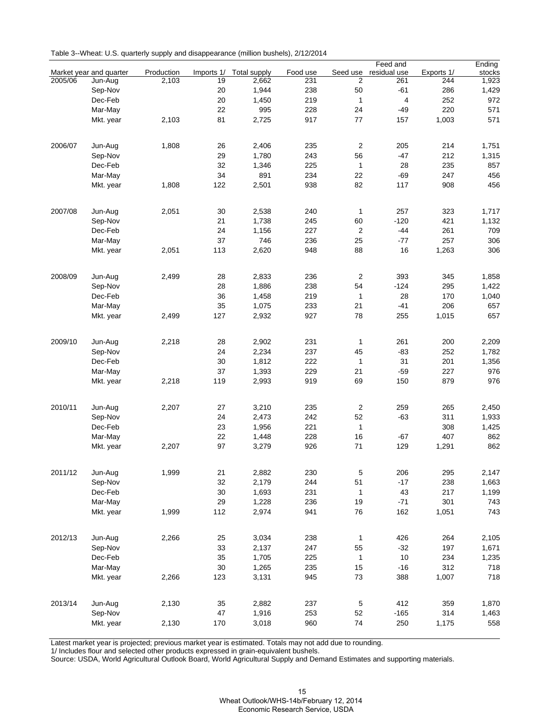|  | Table 3--Wheat: U.S. quarterly supply and disappearance (million bushels), 2/12/2014 |  |  |  |  |
|--|--------------------------------------------------------------------------------------|--|--|--|--|
|--|--------------------------------------------------------------------------------------|--|--|--|--|

|         |                         |            |            |                     |          |                | Feed and       |            | Ending |
|---------|-------------------------|------------|------------|---------------------|----------|----------------|----------------|------------|--------|
|         | Market year and quarter | Production | Imports 1/ | <b>Total supply</b> | Food use | Seed use       | residual use   | Exports 1/ | stocks |
| 2005/06 | Jun-Aug                 | 2,103      | 19         | 2,662               | 231      | 2              | 261            | 244        | 1,923  |
|         | Sep-Nov                 |            | 20         | 1,944               | 238      | 50             | $-61$          | 286        | 1,429  |
|         | Dec-Feb                 |            | 20         | 1,450               | 219      | $\mathbf{1}$   | $\overline{4}$ | 252        | 972    |
|         | Mar-May                 |            | 22         | 995                 | 228      | 24             | $-49$          | 220        | 571    |
|         | Mkt. year               | 2,103      | 81         | 2,725               | 917      | 77             | 157            | 1,003      | 571    |
|         |                         |            |            |                     |          |                |                |            |        |
| 2006/07 | Jun-Aug                 | 1,808      | 26         | 2,406               | 235      | 2              | 205            | 214        | 1,751  |
|         | Sep-Nov                 |            | 29         | 1,780               | 243      | 56             | $-47$          | 212        | 1,315  |
|         | Dec-Feb                 |            | 32         | 1,346               | 225      | $\mathbf{1}$   | 28             | 235        | 857    |
|         | Mar-May                 |            | 34         | 891                 | 234      | 22             | $-69$          | 247        | 456    |
|         | Mkt. year               | 1,808      | 122        | 2,501               | 938      | 82             | 117            | 908        | 456    |
|         |                         |            |            |                     |          |                |                |            |        |
| 2007/08 | Jun-Aug                 | 2,051      | 30         | 2,538               | 240      | $\mathbf{1}$   | 257            | 323        | 1,717  |
|         | Sep-Nov                 |            | 21         | 1,738               | 245      | 60             | $-120$         | 421        | 1,132  |
|         | Dec-Feb                 |            | 24         | 1,156               | 227      | 2              | $-44$          | 261        | 709    |
|         | Mar-May                 |            | 37         | 746                 | 236      | 25             | $-77$          | 257        | 306    |
|         | Mkt. year               | 2,051      | 113        | 2,620               | 948      | 88             | 16             | 1,263      | 306    |
| 2008/09 |                         |            |            |                     |          | $\overline{2}$ | 393            |            |        |
|         | Jun-Aug                 | 2,499      | 28         | 2,833               | 236      |                |                | 345        | 1,858  |
|         | Sep-Nov                 |            | 28         | 1,886               | 238      | 54             | $-124$         | 295        | 1,422  |
|         | Dec-Feb                 |            | 36         | 1,458               | 219      | 1              | 28             | 170        | 1,040  |
|         | Mar-May                 |            | 35         | 1,075               | 233      | 21             | $-41$          | 206        | 657    |
|         | Mkt. year               | 2,499      | 127        | 2,932               | 927      | 78             | 255            | 1,015      | 657    |
| 2009/10 | Jun-Aug                 | 2,218      | 28         | 2,902               | 231      | 1              | 261            | 200        | 2,209  |
|         | Sep-Nov                 |            | 24         | 2,234               | 237      | 45             | $-83$          | 252        | 1,782  |
|         | Dec-Feb                 |            | 30         | 1,812               | 222      | $\mathbf{1}$   | 31             | 201        | 1,356  |
|         | Mar-May                 |            | 37         | 1,393               | 229      | 21             | $-59$          | 227        | 976    |
|         |                         |            |            |                     |          |                |                |            |        |
|         | Mkt. year               | 2,218      | 119        | 2,993               | 919      | 69             | 150            | 879        | 976    |
| 2010/11 | Jun-Aug                 | 2,207      | 27         | 3,210               | 235      | $\overline{c}$ | 259            | 265        | 2,450  |
|         | Sep-Nov                 |            | 24         | 2,473               | 242      | 52             | $-63$          | 311        | 1,933  |
|         | Dec-Feb                 |            | 23         | 1,956               | 221      | $\mathbf{1}$   |                | 308        | 1,425  |
|         | Mar-May                 |            | 22         | 1,448               | 228      | 16             | $-67$          | 407        | 862    |
|         | Mkt. year               | 2,207      | 97         | 3,279               | 926      | 71             | 129            | 1,291      | 862    |
|         |                         |            |            |                     |          |                |                |            |        |
| 2011/12 | Jun-Aug                 | 1,999      | 21         | 2,882               | 230      | 5              | 206            | 295        | 2,147  |
|         | Sep-Nov                 |            | 32         | 2,179               | 244      | 51             | $-17$          | 238        | 1,663  |
|         | Dec-Feb                 |            | $30\,$     | 1,693               | 231      | 1              | 43             | 217        | 1,199  |
|         | Mar-May                 |            | 29         | 1,228               | 236      | 19             | $-71$          | 301        | 743    |
|         | Mkt. year               | 1,999      | 112        | 2,974               | 941      | 76             | 162            | 1,051      | 743    |
|         |                         |            |            |                     |          |                |                |            |        |
| 2012/13 | Jun-Aug                 | 2,266      | 25         | 3,034               | 238      | 1              | 426            | 264        | 2,105  |
|         | Sep-Nov                 |            | 33         | 2,137               | 247      | 55             | $-32$          | 197        | 1,671  |
|         | Dec-Feb                 |            | 35         | 1,705               | 225      | 1              | 10             | 234        | 1,235  |
|         | Mar-May                 |            | $30\,$     | 1,265               | 235      | 15             | $-16$          | 312        | 718    |
|         | Mkt. year               | 2,266      | 123        | 3,131               | 945      | 73             | 388            | 1,007      | 718    |
|         |                         |            |            |                     |          |                |                |            |        |
| 2013/14 | Jun-Aug                 | 2,130      | 35         | 2,882               | 237      | $\,$ 5 $\,$    | 412            | 359        | 1,870  |
|         | Sep-Nov                 |            | 47         | 1,916               | 253      | 52             | $-165$         | 314        | 1,463  |
|         | Mkt. year               | 2,130      | 170        | 3,018               | 960      | 74             | 250            | 1,175      | 558    |
|         |                         |            |            |                     |          |                |                |            |        |

Latest market year is projected; previous market year is estimated. Totals may not add due to rounding.

1/ Includes flour and selected other products expressed in grain-equivalent bushels.

Source: USDA, World Agricultural Outlook Board, World Agricultural Supply and Demand Estimates and supporting materials.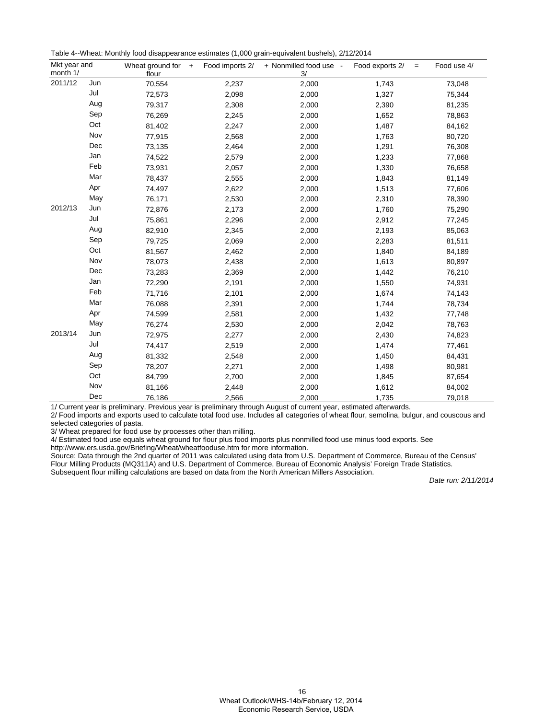|  |  |  |  | Table 4--Wheat: Monthly food disappearance estimates (1,000 grain-equivalent bushels), 2/12/2014 |
|--|--|--|--|--------------------------------------------------------------------------------------------------|
|--|--|--|--|--------------------------------------------------------------------------------------------------|

| month 1/ | Mkt year and<br>Wheat ground for<br>Food imports 2/<br>$+$<br>3/<br>flour |        | + Nonmilled food use - | Food exports 2/<br>$=$ | Food use 4/ |        |
|----------|---------------------------------------------------------------------------|--------|------------------------|------------------------|-------------|--------|
| 2011/12  | Jun                                                                       | 70,554 | 2,237                  | 2,000                  | 1,743       | 73,048 |
|          | Jul                                                                       | 72,573 | 2,098                  | 2,000                  | 1,327       | 75,344 |
|          | Aug                                                                       | 79,317 | 2,308                  | 2,000                  | 2,390       | 81,235 |
|          | Sep                                                                       | 76,269 | 2,245                  | 2,000                  | 1,652       | 78,863 |
|          | Oct                                                                       | 81,402 | 2,247                  | 2,000                  | 1,487       | 84,162 |
|          | Nov                                                                       | 77,915 | 2,568                  | 2,000                  | 1,763       | 80,720 |
|          | Dec                                                                       | 73,135 | 2,464                  | 2,000                  | 1,291       | 76,308 |
|          | Jan                                                                       | 74,522 | 2,579                  | 2,000                  | 1,233       | 77,868 |
|          | Feb                                                                       | 73,931 | 2,057                  | 2,000                  | 1,330       | 76,658 |
|          | Mar                                                                       | 78,437 | 2,555                  | 2,000                  | 1,843       | 81,149 |
|          | Apr                                                                       | 74,497 | 2,622                  | 2,000                  | 1,513       | 77,606 |
|          | May                                                                       | 76,171 | 2,530                  | 2,000                  | 2,310       | 78,390 |
| 2012/13  | Jun                                                                       | 72,876 | 2,173                  | 2,000                  | 1,760       | 75,290 |
|          | Jul                                                                       | 75,861 | 2,296                  | 2,000                  | 2,912       | 77,245 |
|          | Aug                                                                       | 82,910 | 2,345                  | 2,000                  | 2,193       | 85,063 |
|          | Sep                                                                       | 79,725 | 2,069                  | 2,000                  | 2,283       | 81,511 |
|          | Oct                                                                       | 81,567 | 2,462                  | 2,000                  | 1,840       | 84,189 |
|          | Nov                                                                       | 78,073 | 2,438                  | 2,000                  | 1,613       | 80,897 |
|          | Dec                                                                       | 73,283 | 2,369                  | 2,000                  | 1,442       | 76,210 |
|          | Jan                                                                       | 72,290 | 2,191                  | 2,000                  | 1,550       | 74,931 |
|          | Feb                                                                       | 71,716 | 2,101                  | 2,000                  | 1,674       | 74,143 |
|          | Mar                                                                       | 76,088 | 2,391                  | 2,000                  | 1,744       | 78,734 |
|          | Apr                                                                       | 74,599 | 2,581                  | 2,000                  | 1,432       | 77,748 |
|          | May                                                                       | 76,274 | 2,530                  | 2,000                  | 2,042       | 78,763 |
| 2013/14  | Jun                                                                       | 72,975 | 2,277                  | 2,000                  | 2,430       | 74,823 |
|          | Jul                                                                       | 74,417 | 2,519                  | 2,000                  | 1,474       | 77,461 |
|          | Aug                                                                       | 81,332 | 2,548                  | 2,000                  | 1,450       | 84,431 |
|          | Sep                                                                       | 78,207 | 2,271                  | 2,000                  | 1,498       | 80,981 |
|          | Oct                                                                       | 84,799 | 2,700                  | 2,000                  | 1,845       | 87,654 |
|          | Nov                                                                       | 81,166 | 2,448                  | 2,000                  | 1,612       | 84,002 |
|          | Dec                                                                       | 76,186 | 2,566                  | 2,000                  | 1,735       | 79,018 |

1/ Current year is preliminary. Previous year is preliminary through August of current year, estimated afterwards.

2/ Food imports and exports used to calculate total food use. Includes all categories of wheat flour, semolina, bulgur, and couscous and selected categories of pasta.

3/ Wheat prepared for food use by processes other than milling.

4/ Estimated food use equals wheat ground for flour plus food imports plus nonmilled food use minus food exports. See

http://www.ers.usda.gov/Briefing/Wheat/wheatfooduse.htm for more information.

Source: Data through the 2nd quarter of 2011 was calculated using data from U.S. Department of Commerce, Bureau of the Census' Flour Milling Products (MQ311A) and U.S. Department of Commerce, Bureau of Economic Analysis' Foreign Trade Statistics. Subsequent flour milling calculations are based on data from the North American Millers Association.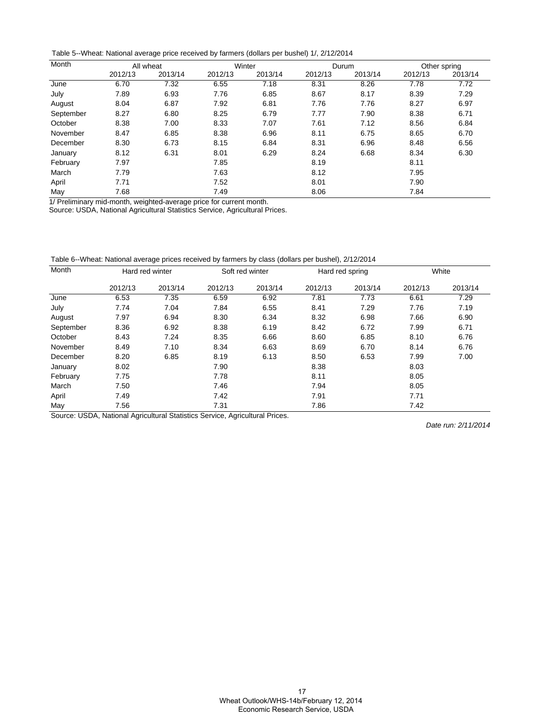Table 5--Wheat: National average price received by farmers (dollars per bushel) 1/, 2/12/2014

| Month     | All wheat |         |         | Winter  |         | Durum   | Other spring |         |
|-----------|-----------|---------|---------|---------|---------|---------|--------------|---------|
|           | 2012/13   | 2013/14 | 2012/13 | 2013/14 | 2012/13 | 2013/14 | 2012/13      | 2013/14 |
| June      | 6.70      | 7.32    | 6.55    | 7.18    | 8.31    | 8.26    | 7.78         | 7.72    |
| July      | 7.89      | 6.93    | 7.76    | 6.85    | 8.67    | 8.17    | 8.39         | 7.29    |
| August    | 8.04      | 6.87    | 7.92    | 6.81    | 7.76    | 7.76    | 8.27         | 6.97    |
| September | 8.27      | 6.80    | 8.25    | 6.79    | 7.77    | 7.90    | 8.38         | 6.71    |
| October   | 8.38      | 7.00    | 8.33    | 7.07    | 7.61    | 7.12    | 8.56         | 6.84    |
| November  | 8.47      | 6.85    | 8.38    | 6.96    | 8.11    | 6.75    | 8.65         | 6.70    |
| December  | 8.30      | 6.73    | 8.15    | 6.84    | 8.31    | 6.96    | 8.48         | 6.56    |
| January   | 8.12      | 6.31    | 8.01    | 6.29    | 8.24    | 6.68    | 8.34         | 6.30    |
| February  | 7.97      |         | 7.85    |         | 8.19    |         | 8.11         |         |
| March     | 7.79      |         | 7.63    |         | 8.12    |         | 7.95         |         |
| April     | 7.71      |         | 7.52    |         | 8.01    |         | 7.90         |         |
| May       | 7.68      |         | 7.49    |         | 8.06    |         | 7.84         |         |

1/ Preliminary mid-month, weighted-average price for current month.

Source: USDA, National Agricultural Statistics Service, Agricultural Prices.

Table 6--Wheat: National average prices received by farmers by class (dollars per bushel), 2/12/2014

| Month     | Hard red winter |         |         | Soft red winter | Hard red spring |         | White   |         |
|-----------|-----------------|---------|---------|-----------------|-----------------|---------|---------|---------|
|           | 2012/13         | 2013/14 | 2012/13 | 2013/14         | 2012/13         | 2013/14 | 2012/13 | 2013/14 |
| June      | 6.53            | 7.35    | 6.59    | 6.92            | 7.81            | 7.73    | 6.61    | 7.29    |
| July      | 7.74            | 7.04    | 7.84    | 6.55            | 8.41            | 7.29    | 7.76    | 7.19    |
| August    | 7.97            | 6.94    | 8.30    | 6.34            | 8.32            | 6.98    | 7.66    | 6.90    |
| September | 8.36            | 6.92    | 8.38    | 6.19            | 8.42            | 6.72    | 7.99    | 6.71    |
| October   | 8.43            | 7.24    | 8.35    | 6.66            | 8.60            | 6.85    | 8.10    | 6.76    |
| November  | 8.49            | 7.10    | 8.34    | 6.63            | 8.69            | 6.70    | 8.14    | 6.76    |
| December  | 8.20            | 6.85    | 8.19    | 6.13            | 8.50            | 6.53    | 7.99    | 7.00    |
| January   | 8.02            |         | 7.90    |                 | 8.38            |         | 8.03    |         |
| February  | 7.75            |         | 7.78    |                 | 8.11            |         | 8.05    |         |
| March     | 7.50            |         | 7.46    |                 | 7.94            |         | 8.05    |         |
| April     | 7.49            |         | 7.42    |                 | 7.91            |         | 7.71    |         |
| May       | 7.56            |         | 7.31    |                 | 7.86            |         | 7.42    |         |

Source: USDA, National Agricultural Statistics Service, Agricultural Prices.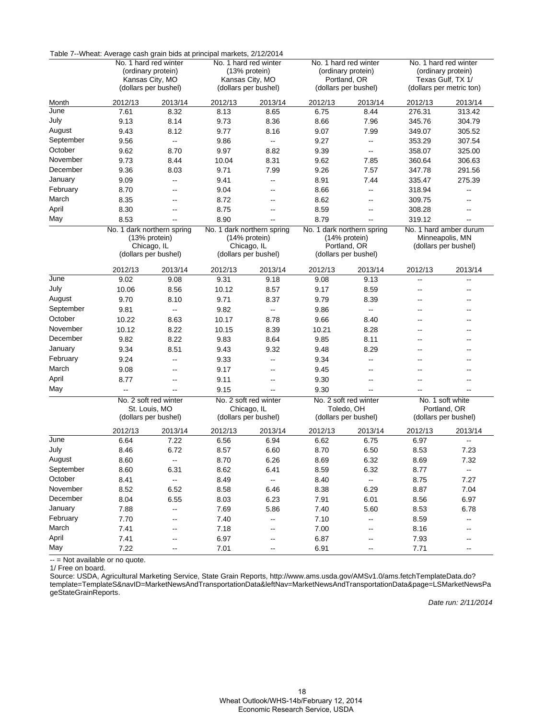|           | Table 7--Wheat: Average cash grain bids at principal markets, 2/12/2014 |                          |                      |                                             |                       |                                             |                                         |                                           |  |
|-----------|-------------------------------------------------------------------------|--------------------------|----------------------|---------------------------------------------|-----------------------|---------------------------------------------|-----------------------------------------|-------------------------------------------|--|
|           |                                                                         | No. 1 hard red winter    |                      | No. 1 hard red winter                       |                       | No. 1 hard red winter                       | No. 1 hard red winter                   |                                           |  |
|           | (ordinary protein)<br>Kansas City, MO                                   |                          |                      | (13% protein)<br>Kansas City, MO            |                       | (ordinary protein)<br>Portland, OR          | (ordinary protein)<br>Texas Gulf, TX 1/ |                                           |  |
|           |                                                                         | (dollars per bushel)     |                      | (dollars per bushel)                        |                       | (dollars per bushel)                        |                                         | (dollars per metric ton)                  |  |
| Month     | 2012/13                                                                 | 2013/14                  | 2012/13              | 2013/14                                     | 2012/13               | 2013/14                                     | 2012/13                                 | 2013/14                                   |  |
| June      | 7.61                                                                    | 8.32                     | 8.13                 | 8.65                                        | 6.75                  | 8.44                                        | 276.31                                  | 313.42                                    |  |
| July      | 9.13                                                                    | 8.14                     | 9.73                 | 8.36                                        | 8.66                  | 7.96                                        | 345.76                                  | 304.79                                    |  |
| August    | 9.43                                                                    | 8.12                     | 9.77                 | 8.16                                        | 9.07                  | 7.99                                        | 349.07                                  | 305.52                                    |  |
| September | 9.56                                                                    | $\overline{\phantom{a}}$ | 9.86                 | $\overline{\phantom{a}}$                    | 9.27                  | $\overline{\phantom{a}}$                    | 353.29                                  | 307.54                                    |  |
| October   | 9.62                                                                    | 8.70                     | 9.97                 | 8.82                                        | 9.39                  | $\overline{\phantom{a}}$                    | 358.07                                  | 325.00                                    |  |
| November  | 9.73                                                                    | 8.44                     | 10.04                | 8.31                                        | 9.62                  | 7.85                                        | 360.64                                  | 306.63                                    |  |
| December  | 9.36                                                                    | 8.03                     | 9.71                 | 7.99                                        | 9.26                  | 7.57                                        | 347.78                                  | 291.56                                    |  |
| January   | 9.09                                                                    | щ,                       | 9.41                 | $\overline{\phantom{a}}$                    | 8.91                  | 7.44                                        | 335.47                                  | 275.39                                    |  |
| February  | 8.70                                                                    | --                       | 9.04                 | --                                          | 8.66                  | --                                          | 318.94                                  | $\overline{\phantom{a}}$                  |  |
| March     | 8.35                                                                    | --                       | 8.72                 | --                                          | 8.62                  | --                                          | 309.75                                  |                                           |  |
| April     | 8.30                                                                    | --                       | 8.75                 | --                                          | 8.59                  | $\overline{\phantom{a}}$                    | 308.28                                  | --                                        |  |
| May       | 8.53                                                                    | --                       | 8.90                 |                                             | 8.79                  | $\overline{\phantom{a}}$                    | 319.12                                  | $\overline{\phantom{a}}$                  |  |
|           | No. 1 dark northern spring<br>(13% protein)                             |                          |                      | No. 1 dark northern spring<br>(14% protein) |                       | No. 1 dark northern spring<br>(14% protein) |                                         | No. 1 hard amber durum<br>Minneapolis, MN |  |
|           |                                                                         | Chicago, IL              |                      | Chicago, IL                                 |                       | Portland, OR                                |                                         | (dollars per bushel)                      |  |
|           |                                                                         | (dollars per bushel)     |                      | (dollars per bushel)                        |                       | (dollars per bushel)                        |                                         |                                           |  |
|           | 2012/13                                                                 | 2013/14                  | 2012/13              | 2013/14                                     | 2012/13               | 2013/14                                     | 2012/13                                 | 2013/14                                   |  |
| June      | 9.02                                                                    | 9.08                     | 9.31                 | 9.18                                        | 9.08                  | 9.13                                        | $\overline{\phantom{a}}$                | $\overline{\phantom{a}}$                  |  |
| July      | 10.06                                                                   | 8.56                     | 10.12                | 8.57                                        | 9.17                  | 8.59                                        | $\overline{\phantom{a}}$                | $\overline{\phantom{a}}$                  |  |
| August    | 9.70                                                                    | 8.10                     | 9.71                 | 8.37                                        | 9.79                  | 8.39                                        | --                                      |                                           |  |
| September | 9.81                                                                    | Ξ.                       | 9.82                 | $\overline{\phantom{a}}$                    | 9.86                  | $\overline{\phantom{a}}$                    | --                                      | $-$                                       |  |
| October   | 10.22                                                                   | 8.63                     | 10.17                | 8.78                                        | 9.66                  | 8.40                                        | --                                      |                                           |  |
| November  | 10.12                                                                   | 8.22                     | 10.15                | 8.39                                        | 10.21                 | 8.28                                        | --                                      |                                           |  |
| December  | 9.82                                                                    | 8.22                     | 9.83                 | 8.64                                        | 9.85                  | 8.11                                        | $\overline{a}$                          |                                           |  |
| January   | 9.34                                                                    | 8.51                     | 9.43                 | 9.32                                        | 9.48                  | 8.29                                        | --                                      |                                           |  |
| February  | 9.24                                                                    | --                       | 9.33                 | --                                          | 9.34                  | $\overline{\phantom{a}}$                    | --                                      | --                                        |  |
| March     | 9.08                                                                    | --                       | 9.17                 | --                                          | 9.45                  | $\overline{\phantom{a}}$                    |                                         |                                           |  |
| April     | 8.77                                                                    | --                       | 9.11                 | --                                          | 9.30                  | $\overline{\phantom{a}}$                    | --                                      |                                           |  |
| May       |                                                                         | Щ,                       | 9.15                 |                                             | 9.30                  | Щ,                                          |                                         |                                           |  |
|           |                                                                         | No. 2 soft red winter    |                      | No. 2 soft red winter                       | No. 2 soft red winter |                                             |                                         | No. 1 soft white                          |  |
|           |                                                                         | St. Louis, MO            |                      | Chicago, IL                                 |                       | Toledo, OH                                  |                                         | Portland, OR                              |  |
|           |                                                                         | (dollars per bushel)     | (dollars per bushel) |                                             | (dollars per bushel)  |                                             | (dollars per bushel)                    |                                           |  |
|           | 2012/13                                                                 | 2013/14                  | 2012/13              | 2013/14                                     | 2012/13               | 2013/14                                     | 2012/13                                 | 2013/14                                   |  |
| June      | 6.64                                                                    | 7.22                     | 6.56                 | 6.94                                        | 6.62                  | 6.75                                        | 6.97                                    |                                           |  |
| July      | 8.46                                                                    | 6.72                     | 8.57                 | 6.60                                        | 8.70                  | 6.50                                        | 8.53                                    | 7.23                                      |  |
| August    | 8.60                                                                    |                          | 8.70                 | 6.26                                        | 8.69                  | 6.32                                        | 8.69                                    | 7.32                                      |  |
| September | 8.60                                                                    | 6.31                     | 8.62                 | 6.41                                        | 8.59                  | 6.32                                        | 8.77                                    | $\sim$                                    |  |
| October   | 8.41                                                                    | Ξ.                       | 8.49                 | $\overline{\phantom{a}}$                    | 8.40                  | $\overline{\phantom{a}}$                    | 8.75                                    | 7.27                                      |  |
| November  | 8.52                                                                    | 6.52                     | 8.58                 | 6.46                                        | 8.38                  | 6.29                                        | 8.87                                    | 7.04                                      |  |
| December  | 8.04                                                                    | 6.55                     | 8.03                 | 6.23                                        | 7.91                  | 6.01                                        | 8.56                                    | 6.97                                      |  |
| January   | 7.88                                                                    | $\overline{\phantom{a}}$ | 7.69                 | 5.86                                        | 7.40                  | 5.60                                        | 8.53                                    | 6.78                                      |  |
| February  | 7.70                                                                    | --                       | 7.40                 | --                                          | 7.10                  | --                                          | 8.59                                    | ⊷                                         |  |
| March     | 7.41                                                                    | --                       | 7.18                 | --                                          | 7.00                  | $\overline{\phantom{a}}$                    | 8.16                                    |                                           |  |
| April     | 7.41                                                                    |                          | 6.97                 |                                             | 6.87                  |                                             | 7.93                                    |                                           |  |
| May       | 7.22                                                                    |                          | 7.01                 |                                             | 6.91                  |                                             | 7.71                                    |                                           |  |

Table 7--Wheat: Average cash grain bids at principal markets, 2/12/2014

-- = Not available or no quote.

1/ Free on board.

Source: USDA, Agricultural Marketing Service, State Grain Reports, http://www.ams.usda.gov/AMSv1.0/ams.fetchTemplateData.do? [template=TemplateS&navID=MarketNewsAndTransportationData&leftNav=MarketNewsAndTransportationData&page=LSMarketNewsPa](http://www.ams.usda.gov/AMSv1.0/ams.fetchTemplateData.do?template=TemplateS&navID=MarketNewsAndTransportationData&leftNav=MarketNewsAndTransportationData&page=LSMarketNewsPageStateGrainReports) geStateGrainReports.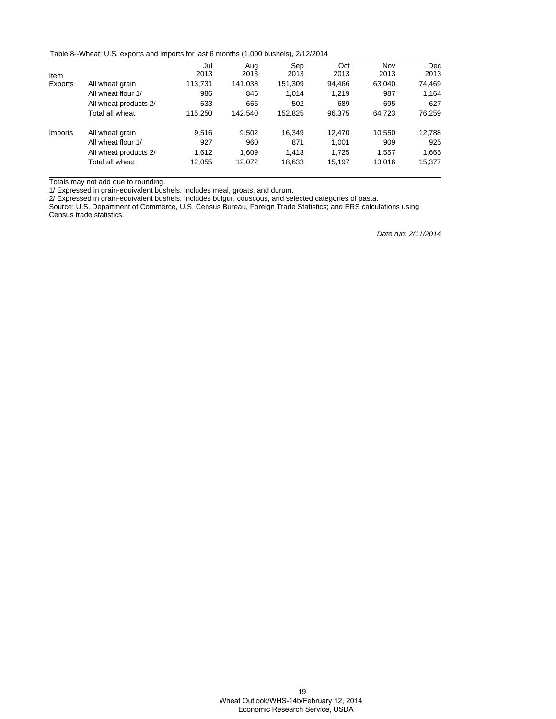Table 8--Wheat: U.S. exports and imports for last 6 months (1,000 bushels), 2/12/2014

|         |                       | Jul     | Aug     | Sep     | Oct    | Nov    | <b>Dec</b> |
|---------|-----------------------|---------|---------|---------|--------|--------|------------|
| Item    |                       | 2013    | 2013    | 2013    | 2013   | 2013   | 2013       |
| Exports | All wheat grain       | 113,731 | 141.038 | 151,309 | 94.466 | 63.040 | 74,469     |
|         | All wheat flour 1/    | 986     | 846     | 1.014   | 1.219  | 987    | 1.164      |
|         | All wheat products 2/ | 533     | 656     | 502     | 689    | 695    | 627        |
|         | Total all wheat       | 115,250 | 142.540 | 152,825 | 96,375 | 64,723 | 76,259     |
| Imports | All wheat grain       | 9,516   | 9,502   | 16,349  | 12.470 | 10,550 | 12,788     |
|         | All wheat flour 1/    | 927     | 960     | 871     | 1,001  | 909    | 925        |
|         | All wheat products 2/ | 1.612   | 1,609   | 1,413   | 1.725  | 1,557  | 1,665      |
|         | Total all wheat       | 12,055  | 12,072  | 18,633  | 15,197 | 13.016 | 15,377     |

Totals may not add due to rounding.

1/ Expressed in grain-equivalent bushels. Includes meal, groats, and durum.

2/ Expressed in grain-equivalent bushels. Includes bulgur, couscous, and selected categories of pasta.

Source: U.S. Department of Commerce, U.S. Census Bureau, Foreign Trade Statistics; and ERS calculations using Census trade statistics.